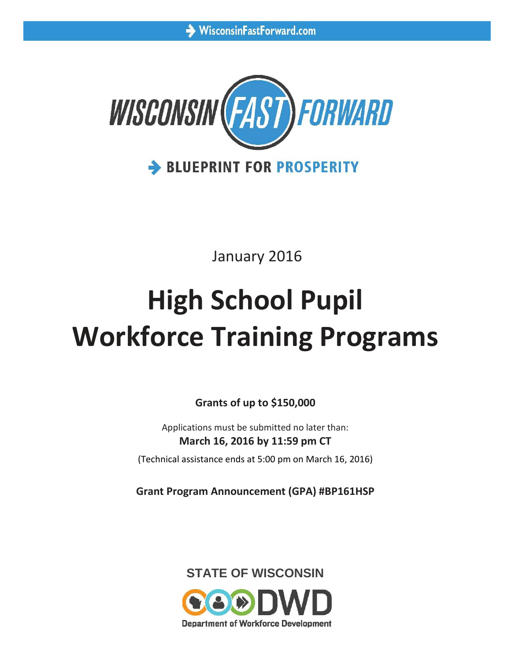

January 2016

# **High School Pupil Workforce Training Programs**

**Grants of up to \$150,000**

Applications must be submitted no later than: **March 16, 2016 by 11:59 pm CT**

(Technical assistance ends at 5:00 pm on March 16, 2016)

**Grant Program Announcement (GPA) #BP161HSP**



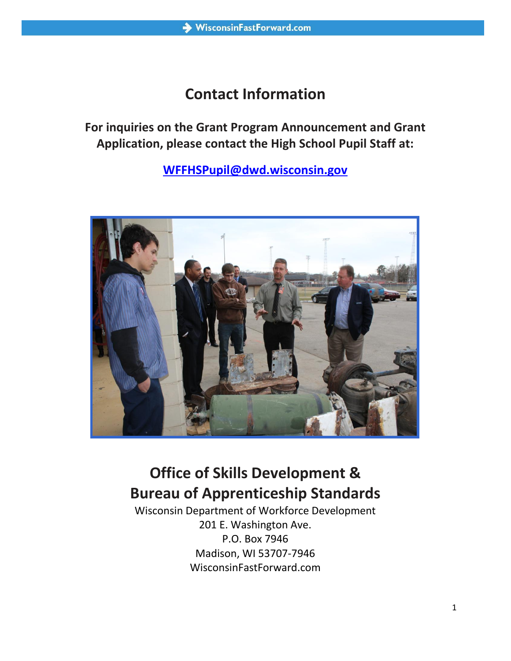## **Contact Information**

**For inquiries on the Grant Program Announcement and Grant Application, please contact the High School Pupil Staff at:**

**[WFFHSPupil@dwd.wisconsin.gov](mailto:WFFHSPupil@dwd.wisconsin.gov)**



# **Office of Skills Development & Bureau of Apprenticeship Standards**

Wisconsin Department of Workforce Development 201 E. Washington Ave. P.O. Box 7946 Madison, WI 53707-7946 WisconsinFastForward.com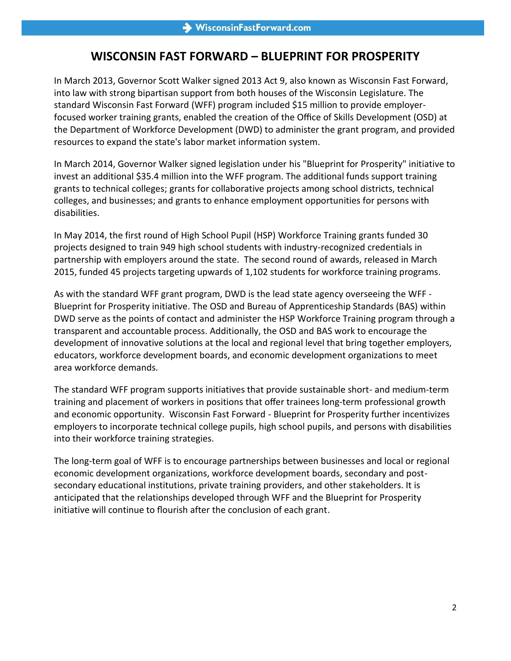### **WISCONSIN FAST FORWARD – BLUEPRINT FOR PROSPERITY**

In March 2013, Governor Scott Walker signed 2013 Act 9, also known as Wisconsin Fast Forward, into law with strong bipartisan support from both houses of the Wisconsin Legislature. The standard Wisconsin Fast Forward (WFF) program included \$15 million to provide employerfocused worker training grants, enabled the creation of the Office of Skills Development (OSD) at the Department of Workforce Development (DWD) to administer the grant program, and provided resources to expand the state's labor market information system.

In March 2014, Governor Walker signed legislation under his "Blueprint for Prosperity" initiative to invest an additional \$35.4 million into the WFF program. The additional funds support training grants to technical colleges; grants for collaborative projects among school districts, technical colleges, and businesses; and grants to enhance employment opportunities for persons with disabilities.

In May 2014, the first round of High School Pupil (HSP) Workforce Training grants funded 30 projects designed to train 949 high school students with industry-recognized credentials in partnership with employers around the state. The second round of awards, released in March 2015, funded 45 projects targeting upwards of 1,102 students for workforce training programs.

As with the standard WFF grant program, DWD is the lead state agency overseeing the WFF - Blueprint for Prosperity initiative. The OSD and Bureau of Apprenticeship Standards (BAS) within DWD serve as the points of contact and administer the HSP Workforce Training program through a transparent and accountable process. Additionally, the OSD and BAS work to encourage the development of innovative solutions at the local and regional level that bring together employers, educators, workforce development boards, and economic development organizations to meet area workforce demands.

The standard WFF program supports initiatives that provide sustainable short- and medium-term training and placement of workers in positions that offer trainees long-term professional growth and economic opportunity. Wisconsin Fast Forward - Blueprint for Prosperity further incentivizes employers to incorporate technical college pupils, high school pupils, and persons with disabilities into their workforce training strategies.

The long-term goal of WFF is to encourage partnerships between businesses and local or regional economic development organizations, workforce development boards, secondary and postsecondary educational institutions, private training providers, and other stakeholders. It is anticipated that the relationships developed through WFF and the Blueprint for Prosperity initiative will continue to flourish after the conclusion of each grant.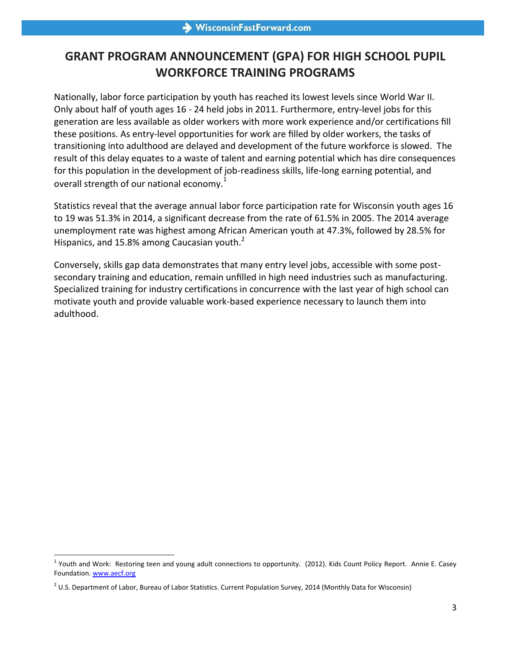## **GRANT PROGRAM ANNOUNCEMENT (GPA) FOR HIGH SCHOOL PUPIL WORKFORCE TRAINING PROGRAMS**

Nationally, labor force participation by youth has reached its lowest levels since World War II. Only about half of youth ages 16 - 24 held jobs in 2011. Furthermore, entry-level jobs for this generation are less available as older workers with more work experience and/or certifications fill these positions. As entry-level opportunities for work are filled by older workers, the tasks of transitioning into adulthood are delayed and development of the future workforce is slowed. The result of this delay equates to a waste of talent and earning potential which has dire consequences for this population in the development of job-readiness skills, life-long earning potential, and overall strength of our national economy. $1$ 

Statistics reveal that the average annual labor force participation rate for Wisconsin youth ages 16 to 19 was 51.3% in 2014, a significant decrease from the rate of 61.5% in 2005. The 2014 average unemployment rate was highest among African American youth at 47.3%, followed by 28.5% for Hispanics, and 15.8% among Caucasian youth.<sup>2</sup>

Conversely, skills gap data demonstrates that many entry level jobs, accessible with some postsecondary training and education, remain unfilled in high need industries such as manufacturing. Specialized training for industry certifications in concurrence with the last year of high school can motivate youth and provide valuable work-based experience necessary to launch them into adulthood.

 $\overline{a}$  $1$  Youth and Work: Restoring teen and young adult connections to opportunity. (2012). Kids Count Policy Report. Annie E. Casey Foundation. [www.aecf.org](http://www.aecf.org/)

 $^2$  U.S. Department of Labor, Bureau of Labor Statistics. Current Population Survey, 2014 (Monthly Data for Wisconsin)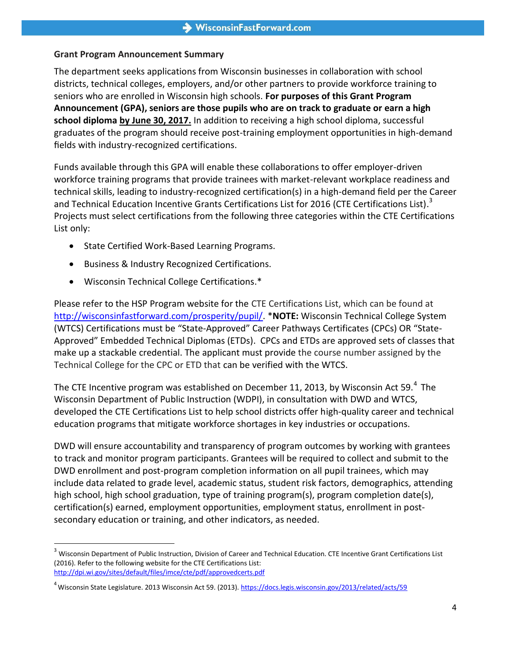#### **Grant Program Announcement Summary**

The department seeks applications from Wisconsin businesses in collaboration with school districts, technical colleges, employers, and/or other partners to provide workforce training to seniors who are enrolled in Wisconsin high schools. **For purposes of this Grant Program Announcement (GPA), seniors are those pupils who are on track to graduate or earn a high school diploma by June 30, 2017.** In addition to receiving a high school diploma, successful graduates of the program should receive post-training employment opportunities in high-demand fields with industry-recognized certifications.

Funds available through this GPA will enable these collaborations to offer employer-driven workforce training programs that provide trainees with market-relevant workplace readiness and technical skills, leading to industry-recognized certification(s) in a high-demand field per the Career and Technical Education Incentive Grants Certifications List for 2016 (CTE Certifications List).<sup>3</sup> Projects must select certifications from the following three categories within the CTE Certifications List only:

- State Certified Work-Based Learning Programs.
- Business & Industry Recognized Certifications.
- Wisconsin Technical College Certifications.\*

 $\overline{a}$ 

Please refer to the HSP Program website for the CTE Certifications List, which can be found at [http://wisconsinfastforward.com/prosperity/pupil/.](http://wisconsinfastforward.com/prosperity/pupil/) \***NOTE:** Wisconsin Technical College System (WTCS) Certifications must be "State-Approved" Career Pathways Certificates (CPCs) OR "State-Approved" Embedded Technical Diplomas (ETDs). CPCs and ETDs are approved sets of classes that make up a stackable credential. The applicant must provide the course number assigned by the Technical College for the CPC or ETD that can be verified with the WTCS.

The CTE Incentive program was established on December 11, 2013, by Wisconsin Act 59. $^{4}$  The Wisconsin Department of Public Instruction (WDPI), in consultation with DWD and WTCS, developed the CTE Certifications List to help school districts offer high-quality career and technical education programs that mitigate workforce shortages in key industries or occupations.

DWD will ensure accountability and transparency of program outcomes by working with grantees to track and monitor program participants. Grantees will be required to collect and submit to the DWD enrollment and post-program completion information on all pupil trainees, which may include data related to grade level, academic status, student risk factors, demographics, attending high school, high school graduation, type of training program(s), program completion date(s), certification(s) earned, employment opportunities, employment status, enrollment in postsecondary education or training, and other indicators, as needed.

 $3$  Wisconsin Department of Public Instruction, Division of Career and Technical Education. CTE Incentive Grant Certifications List (2016). Refer to the following website for the CTE Certifications List: <http://dpi.wi.gov/sites/default/files/imce/cte/pdf/approvedcerts.pdf>

<sup>&</sup>lt;sup>4</sup> Wisconsin State Legislature. 2013 Wisconsin Act 59. (2013).<https://docs.legis.wisconsin.gov/2013/related/acts/59>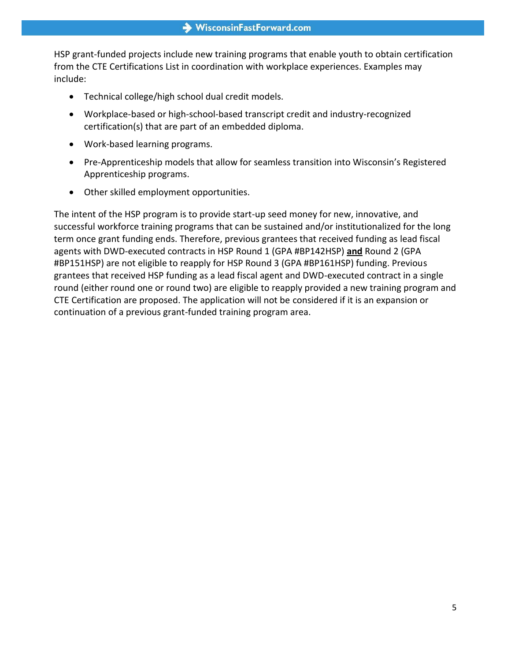HSP grant-funded projects include new training programs that enable youth to obtain certification from the CTE Certifications List in coordination with workplace experiences. Examples may include:

- Technical college/high school dual credit models.
- Workplace-based or high-school-based transcript credit and industry-recognized certification(s) that are part of an embedded diploma.
- Work-based learning programs.
- Pre-Apprenticeship models that allow for seamless transition into Wisconsin's Registered Apprenticeship programs.
- Other skilled employment opportunities.

The intent of the HSP program is to provide start-up seed money for new, innovative, and successful workforce training programs that can be sustained and/or institutionalized for the long term once grant funding ends. Therefore, previous grantees that received funding as lead fiscal agents with DWD-executed contracts in HSP Round 1 (GPA #BP142HSP) **and** Round 2 (GPA #BP151HSP) are not eligible to reapply for HSP Round 3 (GPA #BP161HSP) funding. Previous grantees that received HSP funding as a lead fiscal agent and DWD-executed contract in a single round (either round one or round two) are eligible to reapply provided a new training program and CTE Certification are proposed. The application will not be considered if it is an expansion or continuation of a previous grant-funded training program area.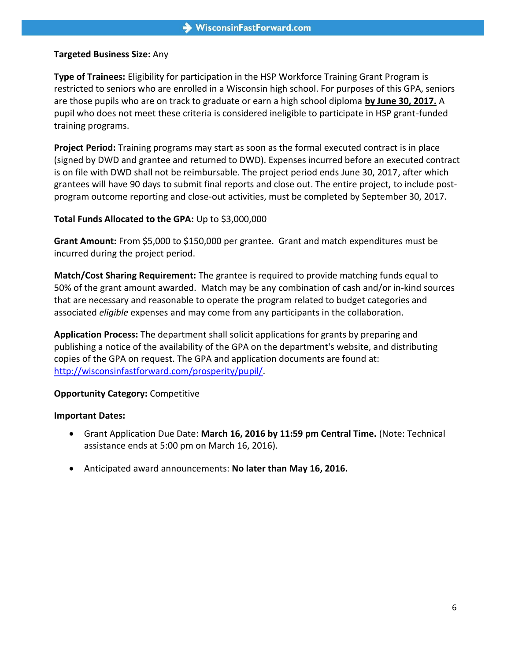#### **Targeted Business Size:** Any

**Type of Trainees:** Eligibility for participation in the HSP Workforce Training Grant Program is restricted to seniors who are enrolled in a Wisconsin high school. For purposes of this GPA, seniors are those pupils who are on track to graduate or earn a high school diploma **by June 30, 2017.** A pupil who does not meet these criteria is considered ineligible to participate in HSP grant-funded training programs.

**Project Period:** Training programs may start as soon as the formal executed contract is in place (signed by DWD and grantee and returned to DWD). Expenses incurred before an executed contract is on file with DWD shall not be reimbursable. The project period ends June 30, 2017, after which grantees will have 90 days to submit final reports and close out. The entire project, to include postprogram outcome reporting and close-out activities, must be completed by September 30, 2017.

#### **Total Funds Allocated to the GPA:** Up to \$3,000,000

**Grant Amount:** From \$5,000 to \$150,000 per grantee. Grant and match expenditures must be incurred during the project period.

**Match/Cost Sharing Requirement:** The grantee is required to provide matching funds equal to 50% of the grant amount awarded. Match may be any combination of cash and/or in-kind sources that are necessary and reasonable to operate the program related to budget categories and associated *eligible* expenses and may come from any participants in the collaboration.

**Application Process:** The department shall solicit applications for grants by preparing and publishing a notice of the availability of the GPA on the department's website, and distributing copies of the GPA on request. The GPA and application documents are found at: [http://wisconsinfastforward.com/prosperity/pupil/.](http://wisconsinfastforward.com/prosperity/pupil/)

#### **Opportunity Category:** Competitive

#### **Important Dates:**

- Grant Application Due Date: **March 16, 2016 by 11:59 pm Central Time.** (Note: Technical assistance ends at 5:00 pm on March 16, 2016).
- Anticipated award announcements: **No later than May 16, 2016.**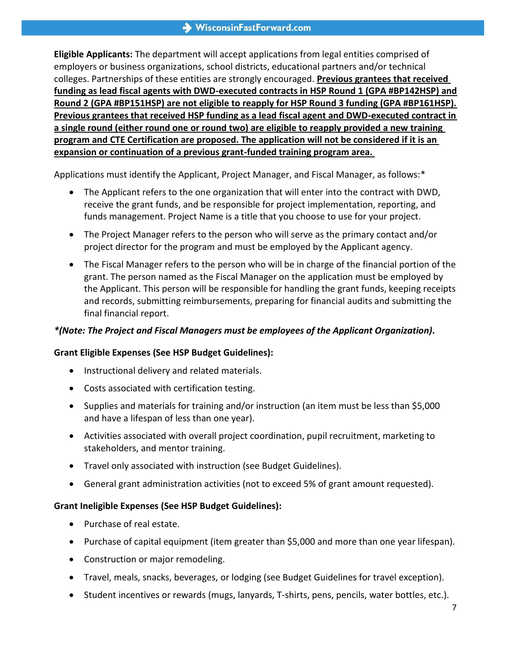**Eligible Applicants:** The department will accept applications from legal entities comprised of employers or business organizations, school districts, educational partners and/or technical colleges. Partnerships of these entities are strongly encouraged. **Previous grantees that received funding as lead fiscal agents with DWD-executed contracts in HSP Round 1 (GPA #BP142HSP) and Round 2 (GPA #BP151HSP) are not eligible to reapply for HSP Round 3 funding (GPA #BP161HSP). Previous grantees that received HSP funding as a lead fiscal agent and DWD-executed contract in a single round (either round one or round two) are eligible to reapply provided a new training program and CTE Certification are proposed. The application will not be considered if it is an expansion or continuation of a previous grant-funded training program area.** 

Applications must identify the Applicant, Project Manager, and Fiscal Manager, as follows:\*

- The Applicant refers to the one organization that will enter into the contract with DWD, receive the grant funds, and be responsible for project implementation, reporting, and funds management. Project Name is a title that you choose to use for your project.
- The Project Manager refers to the person who will serve as the primary contact and/or project director for the program and must be employed by the Applicant agency.
- The Fiscal Manager refers to the person who will be in charge of the financial portion of the grant. The person named as the Fiscal Manager on the application must be employed by the Applicant. This person will be responsible for handling the grant funds, keeping receipts and records, submitting reimbursements, preparing for financial audits and submitting the final financial report.

#### *\*(Note: The Project and Fiscal Managers must be employees of the Applicant Organization).*

#### **Grant Eligible Expenses (See HSP Budget Guidelines):**

- Instructional delivery and related materials.
- Costs associated with certification testing.
- Supplies and materials for training and/or instruction (an item must be less than \$5,000 and have a lifespan of less than one year).
- Activities associated with overall project coordination, pupil recruitment, marketing to stakeholders, and mentor training.
- Travel only associated with instruction (see Budget Guidelines).
- General grant administration activities (not to exceed 5% of grant amount requested).

#### **Grant Ineligible Expenses (See HSP Budget Guidelines):**

- Purchase of real estate.
- Purchase of capital equipment (item greater than \$5,000 and more than one year lifespan).
- Construction or major remodeling.
- Travel, meals, snacks, beverages, or lodging (see Budget Guidelines for travel exception).
- Student incentives or rewards (mugs, lanyards, T-shirts, pens, pencils, water bottles, etc.).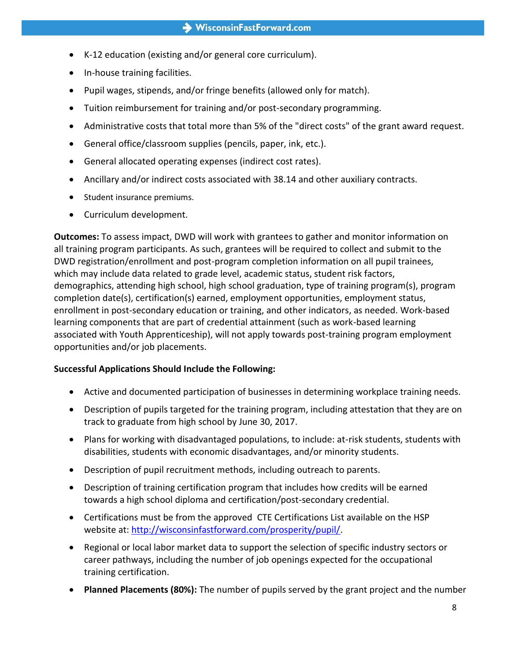- K-12 education (existing and/or general core curriculum).
- In-house training facilities.
- Pupil wages, stipends, and/or fringe benefits (allowed only for match).
- Tuition reimbursement for training and/or post-secondary programming.
- Administrative costs that total more than 5% of the "direct costs" of the grant award request.
- General office/classroom supplies (pencils, paper, ink, etc.).
- General allocated operating expenses (indirect cost rates).
- Ancillary and/or indirect costs associated with 38.14 and other auxiliary contracts.
- Student insurance premiums.
- Curriculum development.

**Outcomes:** To assess impact, DWD will work with grantees to gather and monitor information on all training program participants. As such, grantees will be required to collect and submit to the DWD registration/enrollment and post-program completion information on all pupil trainees, which may include data related to grade level, academic status, student risk factors, demographics, attending high school, high school graduation, type of training program(s), program completion date(s), certification(s) earned, employment opportunities, employment status, enrollment in post-secondary education or training, and other indicators, as needed. Work-based learning components that are part of credential attainment (such as work-based learning associated with Youth Apprenticeship), will not apply towards post-training program employment opportunities and/or job placements.

#### **Successful Applications Should Include the Following:**

- Active and documented participation of businesses in determining workplace training needs.
- Description of pupils targeted for the training program, including attestation that they are on track to graduate from high school by June 30, 2017.
- Plans for working with disadvantaged populations, to include: at-risk students, students with disabilities, students with economic disadvantages, and/or minority students.
- Description of pupil recruitment methods, including outreach to parents.
- Description of training certification program that includes how credits will be earned towards a high school diploma and certification/post-secondary credential.
- Certifications must be from the approved CTE Certifications List available on the HSP website at: [http://wisconsinfastforward.com/prosperity/pupil/.](http://wisconsinfastforward.com/prosperity/pupil/)
- Regional or local labor market data to support the selection of specific industry sectors or career pathways, including the number of job openings expected for the occupational training certification.
- **Planned Placements (80%):** The number of pupils served by the grant project and the number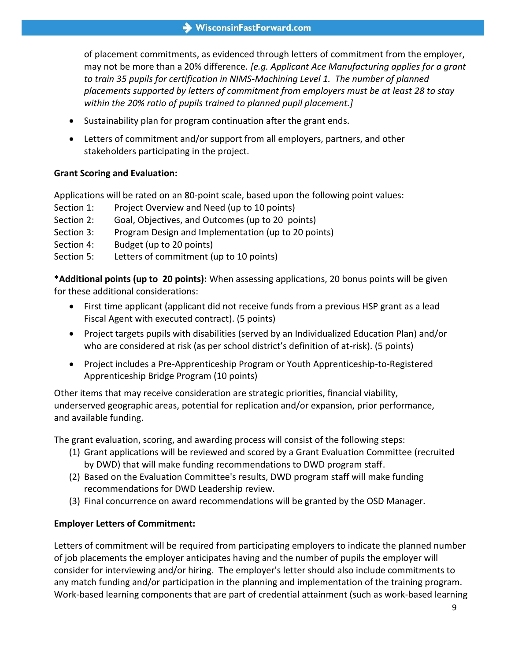of placement commitments, as evidenced through letters of commitment from the employer, may not be more than a 20% difference. *[e.g. Applicant Ace Manufacturing applies for a grant*  to train 35 pupils for certification in NIMS-Machining Level 1. The number of planned *placements supported by letters of commitment from employers must be at least 28 to stay within the 20% ratio of pupils trained to planned pupil placement.]*

- Sustainability plan for program continuation after the grant ends.
- Letters of commitment and/or support from all employers, partners, and other stakeholders participating in the project.

#### **Grant Scoring and Evaluation:**

Applications will be rated on an 80-point scale, based upon the following point values:

- Section 1: Project Overview and Need (up to 10 points)
- Section 2: Goal, Objectives, and Outcomes (up to 20 points)
- Section 3: Program Design and Implementation (up to 20 points)
- Section 4: Budget (up to 20 points)
- Section 5: Letters of commitment (up to 10 points)

**\*Additional points (up to 20 points):** When assessing applications, 20 bonus points will be given for these additional considerations:

- First time applicant (applicant did not receive funds from a previous HSP grant as a lead Fiscal Agent with executed contract). (5 points)
- Project targets pupils with disabilities (served by an Individualized Education Plan) and/or who are considered at risk (as per school district's definition of at-risk). (5 points)
- Project includes a Pre-Apprenticeship Program or Youth Apprenticeship-to-Registered Apprenticeship Bridge Program (10 points)

Other items that may receive consideration are strategic priorities, financial viability, underserved geographic areas, potential for replication and/or expansion, prior performance, and available funding.

The grant evaluation, scoring, and awarding process will consist of the following steps:

- (1) Grant applications will be reviewed and scored by a Grant Evaluation Committee (recruited by DWD) that will make funding recommendations to DWD program staff.
- (2) Based on the Evaluation Committee's results, DWD program staff will make funding recommendations for DWD Leadership review.
- (3) Final concurrence on award recommendations will be granted by the OSD Manager.

#### **Employer Letters of Commitment:**

Letters of commitment will be required from participating employers to indicate the planned number of job placements the employer anticipates having and the number of pupils the employer will consider for interviewing and/or hiring. The employer's letter should also include commitments to any match funding and/or participation in the planning and implementation of the training program. Work-based learning components that are part of credential attainment (such as work-based learning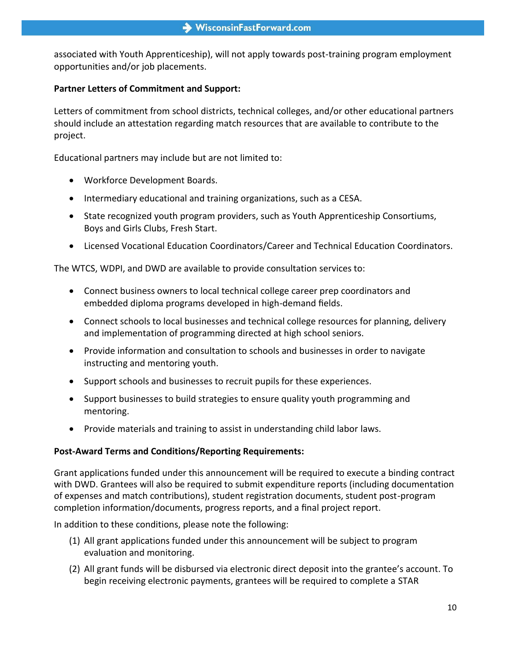associated with Youth Apprenticeship), will not apply towards post-training program employment opportunities and/or job placements.

#### **Partner Letters of Commitment and Support:**

Letters of commitment from school districts, technical colleges, and/or other educational partners should include an attestation regarding match resources that are available to contribute to the project.

Educational partners may include but are not limited to:

- Workforce Development Boards.
- $\bullet$  Intermediary educational and training organizations, such as a CESA.
- State recognized youth program providers, such as Youth Apprenticeship Consortiums, Boys and Girls Clubs, Fresh Start.
- Licensed Vocational Education Coordinators/Career and Technical Education Coordinators.

The WTCS, WDPI, and DWD are available to provide consultation services to:

- Connect business owners to local technical college career prep coordinators and embedded diploma programs developed in high-demand fields.
- Connect schools to local businesses and technical college resources for planning, delivery and implementation of programming directed at high school seniors.
- Provide information and consultation to schools and businesses in order to navigate instructing and mentoring youth.
- Support schools and businesses to recruit pupils for these experiences.
- Support businesses to build strategies to ensure quality youth programming and mentoring.
- Provide materials and training to assist in understanding child labor laws.

#### **Post-Award Terms and Conditions/Reporting Requirements:**

Grant applications funded under this announcement will be required to execute a binding contract with DWD. Grantees will also be required to submit expenditure reports (including documentation of expenses and match contributions), student registration documents, student post-program completion information/documents, progress reports, and a final project report.

In addition to these conditions, please note the following:

- (1) All grant applications funded under this announcement will be subject to program evaluation and monitoring.
- (2) All grant funds will be disbursed via electronic direct deposit into the grantee's account. To begin receiving electronic payments, grantees will be required to complete a STAR